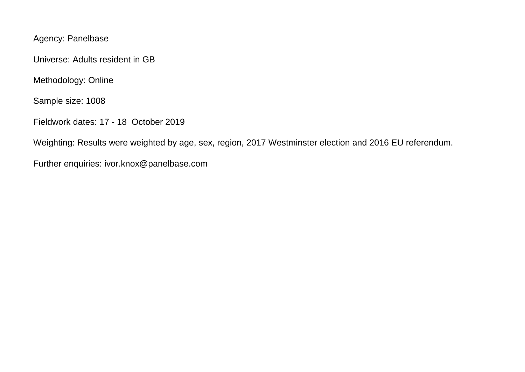Agency: Panelbase

Universe: Adults resident in GB

Methodology: Online

Sample size: 1008

Fieldwork dates: 17 - 18 October 2019

Weighting: Results were weighted by age, sex, region, 2017 Westminster election and 2016 EU referendum.

Further enquiries: ivor.knox@panelbase.com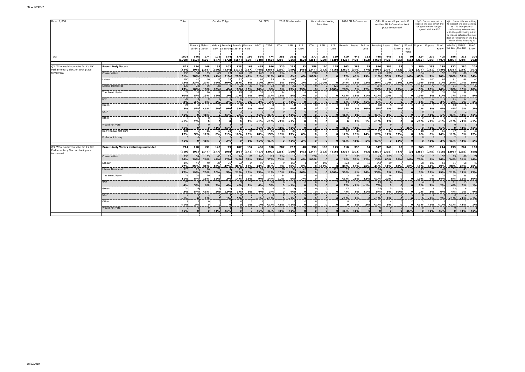| Base: 1,008                                                                                           |                | Gender X Age         |                       |              |                            |              |                             |               | S4. SEG           |              | 2017 Westminster |                       |              | Westminster Voting<br>Intention |                        |               | 2016 EU Referendum |                              | Q8b. How would you vote if<br>another EU Referendum took<br>place tomorrow? |                |                      |             |                      | Q10. Do you support or<br>oppose the deal which the<br>UK government has just<br>agreed with the EU? |               | to support the deal as long<br>confirmatory referendum,<br>deal or remaining in the EU. | Q11. Some MPs are willing<br>as it is then put to a<br>with the public being asked<br>to choose between this new<br>Which of the following is |              |
|-------------------------------------------------------------------------------------------------------|----------------|----------------------|-----------------------|--------------|----------------------------|--------------|-----------------------------|---------------|-------------------|--------------|------------------|-----------------------|--------------|---------------------------------|------------------------|---------------|--------------------|------------------------------|-----------------------------------------------------------------------------|----------------|----------------------|-------------|----------------------|------------------------------------------------------------------------------------------------------|---------------|-----------------------------------------------------------------------------------------|-----------------------------------------------------------------------------------------------------------------------------------------------|--------------|
|                                                                                                       |                | Male x               | Male x<br>18-34 35-54 | $55+$        | $x 18-34$ $x 35-54$ $x 55$ |              | Male x Female Female Female | ABC1          | C <sub>2</sub> DE | CON          | LAB              | LIB<br>DEM            | CON          | LAB                             | LIB<br>DEM             | Remain: Leave |                    | Did not<br>vote              |                                                                             | Remain Leave   | Don't<br>know        | not<br>vote | Would Support Oppose |                                                                                                      | Don't<br>Know | Vote for Reject Don't<br>the deal the deal know                                         |                                                                                                                                               |              |
| Total                                                                                                 |                | 1008<br>146<br>(113) | 174<br>(192)          | 171<br>(177) | 144<br>(172)               | 176          | 196<br>$(154)$ $(199)$      | 534<br>(548)  | 474<br>(460)      | 355<br>(319) | 335<br>(336)     | 62<br>(53)            | 277          | 217<br>$(261)$ $(220)$ $(129)$  | 139                    | 410<br>(428)  | 446<br>(428)       | 152<br>(152)                 | 448<br>(460)                                                                | 446<br>(433)   | 55<br>(55)           | 10<br>(11)  | 324<br>(315)         | 279<br>(286)                                                                                         | 405<br>(407)  | 386<br>(387)                                                                            | 316<br>(319)                                                                                                                                  | 306<br>(302) |
|                                                                                                       | 1008)          |                      |                       |              |                            |              |                             |               |                   |              |                  |                       |              |                                 |                        |               |                    |                              |                                                                             |                |                      |             |                      |                                                                                                      |               |                                                                                         |                                                                                                                                               |              |
| Q3. Who would you vote for if a UK<br><b>Base: Likely Voters</b><br>Parliamentary Election took place | 821<br>(824)   | 124<br>(96)          | 148<br>(165)          | 155<br>(160) | 103<br>(124)               | 128          | 163<br>$(112)$ $(167)$      | 455<br>(468)  | 366<br>(356)      | 320<br>(290) | 297<br>(299)     | 53<br>(45)            | 258<br>(244) | 190                             | 125<br>$(193)$ $(116)$ | 363<br>(380)  | 383<br>(370)       | 75<br>(74)                   | 396<br>(406)                                                                | 383<br>(376)   | 33<br>(32)           | (3)         | 280<br>(274)         | 253<br>(261)                                                                                         | 288<br>(289)  | 332<br>(333)                                                                            | 280<br>(284)                                                                                                                                  | 209<br>(207) |
| tomorrow?<br>Conservative                                                                             | 258            |                      | 33                    | 63           | 22                         | 26           |                             | 143           | 11                | 214          | 19               |                       | 258          |                                 |                        | 61            | 183                | 14                           | 45                                                                          | 205            |                      |             | 184                  | 18                                                                                                   | 56            | 99                                                                                      | 88                                                                                                                                            | 71           |
|                                                                                                       | 31%            | 28%                  | 23%                   | 41%          | 21%                        | 20%          | 49%                         | 31%           | 31%               | 67%          | 6%               | 4%                    | 100%         |                                 |                        | 17%           | 48%                | 19%                          | 11%                                                                         | 53%            | 15%                  | 14%         | 65%                  | 7%                                                                                                   | 20%           | 30%                                                                                     | 32%                                                                                                                                           | 34%          |
| Labour                                                                                                | 190<br>23%     | 41<br>33%            | 4(<br>27%             | 25<br>16%    | 38<br>36%                  | 32<br>25%    | 8%                          | 95<br>21%     | 26%               | 3%           | 166<br>56%       | 2%                    |              | 190<br>0.100%                   |                        | 123<br>34%    | 51.<br>13%         | 22%                          | 142<br>36%                                                                  | 39<br>10%      | 22%                  | 52%         | -28<br>10%           | 100<br>39%                                                                                           | -62<br>21%    | 81<br>24%                                                                               | 68<br>24%                                                                                                                                     | 40<br>19%    |
| Liberal Democrat                                                                                      | 125<br>15%     | 22<br>18%            | 26<br>18%             | 28<br>18%    |                            | 22<br>18%    | $\mathcal{P}$<br>13%        | 91<br>20%     | 9%                | 28<br>9%     | 39<br>13%        | 79%                   |              | $\Omega$                        | 12                     | 95<br>26%     | 13                 | 22%                          | 114<br>29%                                                                  | 2%             | 13%                  |             | 13<br>5%             | 70<br>28%                                                                                            | 14%           | 61<br>18%                                                                               | 43<br>15%                                                                                                                                     | 20<br>10%    |
| The Brexit Party                                                                                      | 79             | 10                   | $\overline{2}$        |              | 4%                         | 15           |                             | 37            |                   |              | 14               |                       |              |                                 | 0:100%                 |               | 3%<br>69           |                              |                                                                             | 76             |                      |             | 27                   | 21                                                                                                   |               | 24                                                                                      | 38                                                                                                                                            |              |
|                                                                                                       | 10%            | 8%                   | 13%                   | 12%          | 2%                         | 12%          | 9%                          | 8%            | 11%               | 11%          | <b>5%</b>        | 7%                    | $\Omega$     | $\mathbf{a}$                    |                        | < 1%          | <b>18%</b>         | 11%                          | < 1%                                                                        | 20%            | $\Omega$             |             | 10%                  | 8%                                                                                                   | 11%           | <b>7%</b>                                                                               | 14%                                                                                                                                           | 8%           |
| SNP                                                                                                   | 26<br>3%       | 2%                   | 6%                    | 3%           | 3%                         | 4%           | 2%                          | 16<br>3%      | 3%                |              | $< 1\%$          |                       | $\Omega$     | $\Omega$<br>$\Omega$            |                        | 23<br>6%      | $< 1\%$            | < 1%                         | 25<br>6%                                                                    |                | $\Omega$<br>$\Omega$ |             | 1%                   | 17<br>7%                                                                                             | 2%            | 11<br>3%                                                                                | 13<br>5%                                                                                                                                      | 1%           |
| Green                                                                                                 | 24             |                      |                       |              |                            |              |                             | 16            |                   |              | 11               |                       |              | $\Omega$                        |                        | 13            |                    |                              | 18                                                                          |                |                      |             |                      |                                                                                                      |               | 13                                                                                      |                                                                                                                                               |              |
| UKIP                                                                                                  | 3%             | 5%                   | < 1%                  | 2%           | 9%                         | 3%           | 1%                          | 4%            | 2%                |              | 4%               |                       | $\Omega$     | $\mathbf{0}$<br>$\mathbf{0}$    |                        | 3%            | 1%                 | 10%                          | 5%                                                                          | 1%             | 6%                   |             | 2%                   | 3%                                                                                                   | 4%            | 4%                                                                                      | 2%                                                                                                                                            | 3%           |
|                                                                                                       | $< 1\%$        |                      | < 1%                  |              | $< 1\%$                    | 2%           |                             | $< 1\%$       | < 1%              |              | $< 1\%$          |                       | $\Omega$     | $\Omega$                        |                        | $< 1\%$       | 1%                 |                              | < 1%                                                                        | 1%             | $\Omega$             |             | $\Omega$             | $< 1\%$                                                                                              | 1%            | $< 1\%$                                                                                 | $< 1\%$                                                                                                                                       | < 1%         |
| Other                                                                                                 | $< 1\%$        | 2%                   |                       |              | $\Omega$                   | $\mathbf{0}$ | 2%                          | $< 1\%$       | $< 1\%$           | < 1%         | < 1%             |                       | $\Omega$     | $\Omega$<br>$\Omega$            |                        |               | 1%                 | 1%                           | $< 1\%$                                                                     | 1%             | $\Omega$             |             | $< 1\%$              | $< 1\%$                                                                                              | $< 1\%$       | < 1%                                                                                    | < 1%                                                                                                                                          | $< 1\%$      |
| Would not vote                                                                                        |                |                      |                       |              |                            |              |                             |               |                   |              |                  |                       |              | $\Omega$                        |                        |               |                    |                              |                                                                             |                | $\Omega$             |             |                      |                                                                                                      |               |                                                                                         |                                                                                                                                               |              |
| Don't Know/ Not sure                                                                                  | $< 1\%$<br>101 |                      | 16                    | $< 1\%$      | $< 1\%$<br>21              | 21           |                             | $< 1\%$<br>45 | $< 1\%$           | < 1%<br>33   | $< 1\%$<br>39    |                       | $\Omega$     | $\Omega$<br>$\Omega$            |                        | < 1%<br>42    | $< 1\%$<br>48      |                              | 47                                                                          | $\Omega$<br>43 | $\Omega$<br>11       | 35%         | 18                   | < 1%<br>14                                                                                           | $< 1\%$       | 37                                                                                      | $< 1\%$<br>17                                                                                                                                 | < 1%<br>47   |
|                                                                                                       | 12%            | 5%                   | 11%                   | 8%           | 21%                        | 16%          | 15%                         | 10%           | 15%               | 10%          | 13%              |                       |              |                                 |                        | 12%           | <b>13%</b>         | 14%                          | 12%                                                                         | <b>11%</b>     | 33%                  |             | 6%                   | 6%                                                                                                   | 24%           | 11%                                                                                     | 6%                                                                                                                                            | 22%          |
| Prefer not to say                                                                                     | $< 1\%$        |                      | < 1%                  | $\Omega$     | 3%                         | $\Omega$     | 1%                          | $< 1\%$       | < 19              |              | $< 1\%$          | 2%                    |              |                                 |                        | $< 1\%$       | $< 1\%$            | 1%                           | $< 1\%$                                                                     | $\Omega$       | 12%                  |             | $\Omega$             | $< 1\%$                                                                                              | 2%            | $< 1\%$                                                                                 | $< 1\%$                                                                                                                                       | 1%           |
| Q3. Who would you vote for if a UK<br><b>Base: Likely Voters excluding undecided</b>                  | 714            | 118                  | 131                   | 143          | 79                         | 107          | 137                         | 406           | 308               | 287          | 257              |                       | 258          | 190                             | 125                    | 318           | 333                | 64                           | 347                                                                         | 340            | 18                   |             | 263                  | 238                                                                                                  | 214           | 293                                                                                     | 262                                                                                                                                           | 160          |
| Parliamentary Election took place                                                                     | (719)          | (91)                 | (147)                 | (147)        | (98)                       |              | $(95)$ $(141)$              |               | $(417)$ $(302)$   | (258)        | (260)            | (41)                  | (244)        |                                 | $(193)$ $(116)$        | (333)         | (323)              | (63)                         | (357)                                                                       | (335)          | (17)                 | (3)         | (256)                | (245)                                                                                                | (218)         | (296)                                                                                   | (265)                                                                                                                                         | (158)        |
| tomorrow?<br>Conservative                                                                             | 258            | 34                   | 33                    | 63           | 22                         | 26           |                             | 143           | 11                | 214          | 19               |                       | 258          | $\mathbf{0}$                    |                        | 61            | 183                | 14                           | 45                                                                          | 205            |                      |             | 184                  | 18                                                                                                   | 56            | 99                                                                                      | 88                                                                                                                                            | 71           |
| Labour                                                                                                | 36%<br>190     | 29%<br>41            | 26%                   | 44%<br>25    | <b>27%</b><br>38           | 24%<br>32    | 58%                         | 35%<br>95     | 37%               | 74%          | 7%<br>166        | 4%                    | 100%         | 190                             |                        | 19%<br>123    | 55%<br>51          | 22%                          | 13%<br>142                                                                  | 60%<br>39      | 26%                  | 14%         | 70%<br>28            | 8%<br>100                                                                                            | 26%           | 34%<br>81                                                                               | 34%<br>68                                                                                                                                     | 44%<br>40    |
|                                                                                                       | 27%            | 35%                  | 31%                   | 18%          | 47%                        | 30%          | 10%                         | 23%           | 31%               | 3%           | 65%              | 2%                    | $\bullet$    | 100%                            |                        | 39%           | <b>15%</b>         | 26%                          | 41%                                                                         | 11%            | 40%                  | 52%         | 11%                  | 42%                                                                                                  | 29%           | 28%                                                                                     | 26%                                                                                                                                           | 25%          |
| Liberal Democrat                                                                                      | 125<br>17%     | $22^{\circ}$<br>19%  | 26<br>20%             | 28<br>20%    |                            | 22<br>21%    | $\mathcal{P}$<br>16%        | 91<br>23%     | 11%               | 28<br>10%    | 39<br><b>15%</b> | $\mathbf{A}^*$<br>86% |              |                                 | 12<br>0.100%           | 95<br>30%     | 13<br>4%           | $\mathbf{1}^{\prime}$<br>26% | 114<br>33%                                                                  | 2%             | 23%                  |             | 13<br>5%             | 70<br>29%                                                                                            | 42<br>19%     | 61<br>21%                                                                               | 43                                                                                                                                            | 20<br>13%    |
| The Brexit Party                                                                                      | -79            |                      |                       |              | 5%                         | 15           |                             | 37            |                   |              | 14               |                       |              |                                 |                        |               | 69                 |                              |                                                                             | 76             |                      |             | 27                   | 21                                                                                                   | 31            | 24                                                                                      | <b>17%</b><br>38                                                                                                                              |              |
|                                                                                                       | 11%            | 8%                   | 15%                   | 12%          | 2%                         | 14%          | 11%                         | 9%            | 14%               | 12%          | 6%               | 7%                    | $\Omega$     | $\Omega$                        |                        | < 1%          | 21%                | 12%                          | $< 1\%$                                                                     | 22%            | $\mathbf{a}$         |             | 10%                  | 9%                                                                                                   | 14%           | 8%                                                                                      | 15%                                                                                                                                           | 10%          |
| SNP                                                                                                   | 26<br>4%       | 3%                   | 6%                    | 3%           | 4%                         | 4%           | 2%                          | 16<br>4%      | 3%                |              | < 1%             |                       | $\Omega$     | $\mathbf{0}$                    |                        | 23<br>7%      | $< 1\%$            | < 1%                         | 25<br>7%                                                                    |                |                      |             | 2%                   | 17<br>7%                                                                                             | 2%            | 11<br>4%                                                                                | 13<br>5%                                                                                                                                      | 1%           |
| Green                                                                                                 | 24             |                      |                       |              |                            |              |                             | 16            |                   |              | -11              |                       | $\mathbf{a}$ | $\Omega$<br>$\mathbf{a}$        |                        | 13            |                    |                              | 18                                                                          |                |                      |             |                      |                                                                                                      |               | 13                                                                                      |                                                                                                                                               |              |
| <b>UKIP</b>                                                                                           | 3%             | <b>5%</b>            | $< 1\%$               | 2%           | 12%                        | 3%           | 1%                          | 4%            | 3 <sup>o</sup>    |              | 4%               |                       | $\mathbf{0}$ | $\mathbf{0}$                    |                        | 4%            | 1%                 | 11%                          | 5%                                                                          | 1%             | 10%                  |             | 2%                   | 3%                                                                                                   | 6%            | 4%                                                                                      | 2%                                                                                                                                            | 4%           |
|                                                                                                       | $< 1\%$        |                      | 1%                    | $\Omega$     | 1%                         | 3%           |                             | $< 1\%$       | < 1%              |              | $< 1\%$          |                       | $\mathbf{o}$ | $\Omega$                        |                        | < 1%          | 1%                 |                              | $< 1\%$                                                                     | 1%             | $\Omega$             |             | $\Omega$             | $< 1\%$                                                                                              | 2%            | $< 1\%$                                                                                 | $< 1\%$                                                                                                                                       | $< 1\%$      |
| Other                                                                                                 | $< 1\%$        | 2%                   |                       |              |                            | $\mathbf{0}$ | 2%                          | 1%            | < 1%              | < 1%         | < 1%             |                       | $\Omega$     | $\Omega$<br>$\Omega$            |                        |               | 1%                 | 2%                           | $< 1\%$                                                                     | 1%             | $\Omega$             |             | $< 1\%$              | $< 1\%$                                                                                              | $< 1\%$       | < 1%                                                                                    | < 1%                                                                                                                                          | 1%           |
| Would not vote                                                                                        |                |                      |                       |              |                            |              |                             |               |                   |              |                  |                       |              | $\Omega$                        |                        |               |                    |                              |                                                                             |                |                      |             |                      |                                                                                                      |               |                                                                                         |                                                                                                                                               |              |
|                                                                                                       | $< 1\%$        |                      |                       | $< 1\%$      | $< 1\%$                    |              |                             | $< 1\%$       | 1%                | $< 1\%$      | < 1%             |                       | $\Omega$     |                                 |                        | $< 1\%$       | $< 1\%$            |                              | $\Omega$                                                                    |                | $\Omega$             | 35%         | $\mathbf{o}$         | $< 1\%$                                                                                              | < 1%          |                                                                                         | < 1%                                                                                                                                          | $< 1\%$      |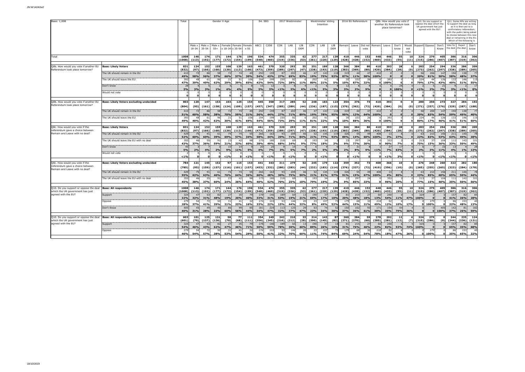| Base: 1,008                                                                                          |                                                       |                            | Gender X Age<br>Total<br>Male x   Male x   Female   Female   Female |                           |                           |                      |                     |                                | S4. SEG                    |                        | 2017 Westminster<br>CON<br>LIB<br>LAB |                                      |                     |                            | <b>Westminster Voting</b><br>Intention |                     | 2016 EU Referendum            | Q8b. How would you vote if<br>another EU Referendum took<br>place tomorrow?<br>Remain : Leave : Did not Remain : Leave<br>Don't |                               |                      |                            | Q10. Do you support or<br>oppose the deal which the<br>UK government has just<br>agreed with the EU?<br>Would Support Oppose Don't |             |                             | Q11. Some MPs are willing<br>to support the deal as long<br>as it is then put to a<br>confirmatory referendum<br>with the public being asked<br>to choose between this new<br>deal or remaining in the EU.<br>Which of the following is<br>Vote for Reject |                        |                                   |                            |                      |
|------------------------------------------------------------------------------------------------------|-------------------------------------------------------|----------------------------|---------------------------------------------------------------------|---------------------------|---------------------------|----------------------|---------------------|--------------------------------|----------------------------|------------------------|---------------------------------------|--------------------------------------|---------------------|----------------------------|----------------------------------------|---------------------|-------------------------------|---------------------------------------------------------------------------------------------------------------------------------|-------------------------------|----------------------|----------------------------|------------------------------------------------------------------------------------------------------------------------------------|-------------|-----------------------------|------------------------------------------------------------------------------------------------------------------------------------------------------------------------------------------------------------------------------------------------------------|------------------------|-----------------------------------|----------------------------|----------------------|
|                                                                                                      |                                                       |                            | Male x                                                              | 18-34 35-54               | $55+$                     | x 18-34 x 35-54 x 55 |                     |                                | ABC1                       | C <sub>2</sub> DE      |                                       |                                      | DEM                 | CON                        | LAB                                    | LIB<br>DEM          |                               |                                                                                                                                 | vote                          |                      |                            | know                                                                                                                               | not<br>vote |                             |                                                                                                                                                                                                                                                            | Know                   | the deal the deal know            |                            | Don't                |
| <b>Total</b>                                                                                         |                                                       | 1008<br>(1008)             | 146<br>(113)                                                        | 174<br>(192)              | 171<br>(177)              | 144<br>(172)         | 176                 | 196<br>$(154)$ $(199)$         | 534<br>(548)               | 474<br>(460)           |                                       | 355 335<br>$(319)$ $(336)$           | 62<br>(53)          | 277<br>(261)               | 217 139<br>(220)                       | (129)               | 410<br>$(428)$ $(428)$        | 446                                                                                                                             | 152<br>(152)                  | 448<br>(460)         | 446<br>(433)               | 55<br>(55)                                                                                                                         | 10<br>(11)  | 324<br>(315)                | 279                                                                                                                                                                                                                                                        | 405<br>$(286)$ $(407)$ | 386.                              | 316<br>$(387)$ $(319)$     | 306<br>(302)         |
| 28b. How would you vote if another EU<br>Referendum took place tomorrow?                             | <b>Base: Likely Voters</b>                            | 831<br>(832)               | 124<br>(97)                                                         | 152<br>(166)              | 155<br>(160)              | 108<br>(130)         | 129                 | 163<br>$(113)$ $(166)$         | 461<br>(473)               | 370<br>(359)           | 320                                   | 293<br>$(289)$ $(297)$               | 55<br>(47)          | 251<br>(238)               | 189<br>(193)                           | 128<br>(119)        | 366<br>$(383)$ $(369)$        | 384                                                                                                                             | 80<br>(80)                    | 410<br>(420)         | 393<br>(384)               | 28<br>(28)                                                                                                                         | (0)         | 283<br>(273)                | 254                                                                                                                                                                                                                                                        | 294<br>$(262)$ $(297)$ | 336<br>(338)                      | 286<br>(289)               | 209<br>(205)         |
|                                                                                                      | The UK should remain in the EU                        | 410<br>49%                 | 72<br><b>58%</b>                                                    | 56%                       | 58<br>37%                 | 66%                  | 57%                 | 30%                            | 250<br>54%                 | 43%                    | 87<br><b>27%</b>                      | 203<br>69%                           | 83%                 | 47<br>19%                  | 143<br>75%                             | 92%                 | 319<br>87%                    | 44<br>11%                                                                                                                       | 47<br>58%                     | 410<br>100%          |                            |                                                                                                                                    |             | 56<br>20%                   | 206<br>81%                                                                                                                                                                                                                                                 | 147<br>50%             | 194<br><b>58%</b>                 | 138<br>48%                 | 37%                  |
|                                                                                                      | The UK should leave the EU                            | 393<br>47%                 | 48<br>39%                                                           | 61<br>40%                 | 96<br>62%                 | -31<br>29%           | 51<br>39%           | 106<br>65%                     | 194<br>42%                 | 199<br>54%             | 230<br>72%                            | 82<br>28%                            | 11%                 | 202<br>80%                 | 41<br>21%                              | 5%                  | 35<br>10%                     | 333<br>87%                                                                                                                      | - 26<br>32%                   | n                    | 393<br>100%                |                                                                                                                                    |             | 224<br>79%                  | 44<br>17%                                                                                                                                                                                                                                                  | 126<br>43%             | 133<br>40%                        | 146<br>51%                 | 115<br><b>55%</b>    |
|                                                                                                      | Don't know<br>Would not vote                          | 28<br>3%                   | 3%                                                                  | 3%                        | 1%                        | 4%                   | 4%                  | 5%                             | 16<br>3%                   | 3%                     | $< 1\%$                               | 3%                                   | 6%                  | $< 1\%$                    | 3%                                     | 3%                  | 12<br>3%                      | 2%                                                                                                                              | 9%                            |                      |                            | 28<br>0.100%                                                                                                                       |             | $< 1\%$                     | 2%                                                                                                                                                                                                                                                         | $\mathcal{P}$<br>7%    | 3%                                | $< 1\%$                    | 8%                   |
| 38b. How would you vote if another EU<br>Referendum took place tomorrow?                             | <b>Base: Likely Voters excluding undecided</b>        | 803<br>(804)               | 120<br>(95)                                                         | 147<br>(161)              | 153<br>(158)              | 103<br>(124)         | 125                 | 154<br>$(109)$ $(157)$         | 445<br>(457)               | 358<br>(347)           | 317<br>(285)                          | 285<br>(289)                         | 52<br>(44)          | 248<br>(236)               | 183<br>(187)                           | 123<br>(115)        | 354<br>$(370)$ $(362)$        | 376                                                                                                                             | 73<br>(72)                    | 410<br>(420)         | 393<br>(384)               | $\Omega$<br>(0)                                                                                                                    | (0)         | 280<br>(271)                | 250                                                                                                                                                                                                                                                        | 273<br>$(257)$ $(276)$ | 327<br>(329)                      | 284<br>(287)               | 192<br>(188)         |
|                                                                                                      | The UK should remain in the EU                        | 410<br>51%                 | 72<br>60%                                                           | 86<br>58%                 | 58<br>38%                 | 70%                  | 74<br>59%           | 31%                            | 250<br>56%                 | 159<br>44%             | 87<br>27%                             | 203<br>71%                           | 89%                 | 47<br>19%                  | 143<br>78%                             | -11<br>95%          | 319<br>90%                    | 44<br>12%                                                                                                                       | 47<br>64%                     | 410<br>100%          |                            |                                                                                                                                    |             | 56<br>20%                   | 206<br>83%                                                                                                                                                                                                                                                 | 147<br>54%             | 194<br>59%                        | 138<br>49%                 | 40%                  |
|                                                                                                      | The UK should leave the EU                            | 393<br>49%                 | 48<br>40%                                                           | 61<br>42%                 | 96<br>62%                 | -31<br>30%           | 51<br>41%           | 106<br>69%                     | 194<br>44%                 | 19<br>56%              | 230<br><b>73%</b>                     | 82<br>29%                            | 11%                 | 202<br>81%                 | 41<br>22%                              | 5%                  | 35<br>10%                     | 333<br>88%                                                                                                                      | 36%                           | n:                   | 393<br>100%                |                                                                                                                                    |             | 224<br>80%                  | 44 <sup>1</sup><br>17%                                                                                                                                                                                                                                     | 126<br>46%             | 133<br>41%                        | 146<br>51%                 | 11<br>60%            |
| Q8c. How would you vote if the<br>referendum gave a choice between<br>Remain and Leave with no deal? | <b>Base: Likely Voters</b>                            | 831                        | 124                                                                 | 152                       | 155                       | 108                  | 129                 | 163                            | 461                        | 370                    | 320                                   | 293                                  | 55                  | 251                        | 189                                    | 128                 | 366                           | 384                                                                                                                             | 80                            | 410                  | 393                        | 28                                                                                                                                 |             | 283                         | 254                                                                                                                                                                                                                                                        | 294                    | 336                               | 286                        | 209                  |
|                                                                                                      | The UK should remain in the EU                        | (832)<br>429<br>52%        | (97)<br>75<br>60%                                                   | (166)<br>91<br>60%        | (160)<br>61<br>39%        | (130)<br>69%         | (113)<br>74<br>57%  | (166)<br>55<br>34%             | (473)<br>266<br>58%        | (359)<br>163<br>44%    | 93<br>29%                             | $(289)$ $(297)$<br>209<br><b>71%</b> | (47)<br>84%         | (238)<br>52<br>21%         | (193)<br>145<br><b>77%</b>             | (119)<br>119<br>93% | $(383)$ $(369)$<br>326<br>89% | 55<br>14%                                                                                                                       | (80)<br>4 <sup>c</sup><br>60% | (420)<br>408<br>100% | (384)<br>13<br>3%          | (28)<br>27%                                                                                                                        | (0)         | (273)<br>63<br>22%          | (262)<br>210<br>83%                                                                                                                                                                                                                                        | (297)<br>156<br>53%    | (338)<br>211<br>63%               | (289)<br>140<br>49%        | (205)<br>38%         |
|                                                                                                      | The UK should leave the EU with no deal               | 355<br>43%                 | 46<br>37%                                                           | 55<br>36%                 | 91<br>59%                 | 23<br>21%            | 42<br>32%           | 60%                            | 175<br>38%                 | 18<br>49%              | 218<br>68%                            | 69<br>24%                            | 9%                  | 193<br><b>77%</b>          | 34<br>18%                              | 3%                  | 33<br>9%i                     | 297<br><b>77%</b>                                                                                                               | 24<br>30%                     |                      | 353<br>90%                 | <b>7%</b>                                                                                                                          |             | 213<br><b>75%</b>           | 37<br>15%                                                                                                                                                                                                                                                  | 104<br>36%             | 111<br>33%                        | 142<br>50%                 | 49%                  |
|                                                                                                      | Don't know<br>Would not vote                          | 45<br>5%                   | 2%                                                                  | 4%<br>$\Omega$            | 2%                        | 9%                   | 11%                 | <b>5%</b>                      | $\overline{2}$<br>4%       | 2 <sup>1</sup><br>7%   | 3%                                    | 14<br>5%                             | 7%                  | 2%                         | 5%                                     | 49                  | 2%<br>$\Omega$                | -31<br>8%                                                                                                                       | 9%                            | $< 1\%$<br>- 03      | 27<br>7%                   | 17<br>63%                                                                                                                          |             | 2%                          | 3%                                                                                                                                                                                                                                                         | 11%                    | 13<br>4%                          | 1%                         | 13%                  |
| Q8c. How would you vote if the<br>referendum gave a choice between                                   | <b>Base: Likely Voters excluding undecided</b>        | < 1%<br>784<br>(785)       | 121<br>(95)                                                         | 145<br>(159)              | 152<br>(157)              | < 1%<br>97<br>(116)  | 115                 | < 1%<br>153<br>$(101)$ $(157)$ | 441<br>(453)               | < 1%<br>343<br>(332)   | n÷<br>311<br>(280)                    | $< 1\%$<br>279<br>(283)              | 52<br>(44           | 245<br>(232)               | < 1%<br>179<br>(183)                   | 122<br>(114)        | 359<br>(376)                  | $< 1\%$<br>352<br>(337)                                                                                                         | 73<br>(72)                    | 408<br>(419)         | $< 1\%$<br>366<br>(356)    | 3%<br>10<br>(10)                                                                                                                   | (0)         | $< 1\%$<br>276<br>(265)     | n<br>248<br>(255)                                                                                                                                                                                                                                          | < 1%<br>260<br>(265)   | $< 1\%$<br>322<br>(323)           | 282<br>(284)               | < 1%<br>180<br>(178) |
| Remain and Leave with no deal?                                                                       | The UK should remain in the EU                        | 429                        | 75                                                                  | 91                        | 61                        | 74                   | 74                  | 55                             | 266<br>60%                 | 163<br>48%             | 93                                    | 209                                  |                     | 52                         | 145                                    | 11                  | 326                           | 55                                                                                                                              | 49                            | 408                  | 13<br>4%                   |                                                                                                                                    |             | 63<br>23%                   | 210                                                                                                                                                                                                                                                        | 156                    | 211                               | 140<br>50%                 | 44%                  |
|                                                                                                      | The UK should leave the EU with no deal               | 55%<br>355<br>45%          | 62%<br>46<br>38%                                                    | 63%<br>55<br>37%          | 40%<br>91<br>60%          | 76%<br>23<br>24%     | 64%<br>42<br>36%    | 36%<br>QR<br>64%               | 175<br>40%                 | 180<br>52%             | 30%<br>218<br>70%                     | <b>75%</b><br>-69<br>25%             | 90%<br>10%          | 21%<br>193<br>79%          | 81%<br>- 34<br>19%                     | 97%<br>3%           | 91%<br>33<br>9%               | <b>15%</b><br>297<br>85%                                                                                                        | 67%<br>- 24<br>33%            | 100%                 | 353<br>96%                 | 80%<br>20%                                                                                                                         |             | 213<br>77%                  | 85%<br>37<br>15%                                                                                                                                                                                                                                           | 60%<br>104<br>40%      | <b>65%</b><br>111<br>35%          | 142<br>50%                 | 101<br>56%           |
| Q10. Do you support or oppose the deal Base: All respondents<br>which the UK government has just     |                                                       | 1008                       | 146                                                                 | 174                       | 171                       | 144                  | 176                 | 196                            | 534                        | 474                    | 355                                   | 335                                  | 62                  | 277                        | 217                                    | 139                 | 410                           | 446                                                                                                                             | 152                           | 448                  | 446                        | 55                                                                                                                                 | 10          | 324                         | 279                                                                                                                                                                                                                                                        | 405                    | 386                               | 316                        | 306                  |
| agreed with the EU?                                                                                  | Support                                               | 1008)<br>324<br>32%        | (113)<br>47<br>32%                                                  | (192)<br>53<br>31%        | (177)<br>82<br>48%        | (172)<br>-27<br>19%  | (154)<br>35<br>20%  | (199)<br>40%                   | (548)<br>178<br>33%        | (460)<br>146<br>31%    | 189<br><b>53%</b>                     | $(319)$ $(336)$<br>64<br>19%         | (53)<br>21%         | (261)<br>190<br>69%        | (220)<br>-37<br>17%                    | (129)<br>10%        | $(428)$ $(428)$<br>81<br>20%  | 215<br>48%                                                                                                                      | (152)<br>27<br>18%            | (460)<br>60<br>13%   | (433)<br>240<br><b>54%</b> | (55)<br>$11\%$                                                                                                                     | (11)<br>47% | (315)<br>324<br>100%        |                                                                                                                                                                                                                                                            | $(286)$ $(407)$        | (387)<br>157<br>41%               | (319)<br>82<br>26%         | (302)<br>28%         |
|                                                                                                      | Oppose                                                | 279<br>28%                 | 54<br>37%                                                           | 72<br>41%                 | 50<br>29%                 | -31<br>21%           | 41<br>23%           | -32<br>16%                     | 176<br>33%                 | 10<br>22%              | 53<br>15%                             | 146<br>44%                           | 32%                 | 23<br>8%                   | 107<br>49%                             | 52%                 | 179<br>44%                    | 68<br>15%                                                                                                                       | -32<br>21%                    | 218<br>49%           | -52<br>12%                 | <b>10%</b>                                                                                                                         | 17%         |                             | 279<br>0.100%                                                                                                                                                                                                                                              |                        | 86<br>22%                         | 153<br>48%                 | 13%                  |
|                                                                                                      | Don't Know                                            | 405<br>40%                 | 45<br>31%                                                           | 49<br>28%                 | 40<br>23%                 | 86<br>60%            | 99<br><b>56%</b>    | 85<br>44%                      | 181<br>34%                 | 22 <sup>4</sup><br>47% | 113<br>32%                            | 125<br>37%                           | 47%                 | 63<br>23%                  | 74<br>34%                              | 38%                 | 150<br>37%                    | 162<br>36%                                                                                                                      | 93<br>61%                     | 171<br>38%           | 154<br>35%                 | 44<br>79%                                                                                                                          | 36%         |                             |                                                                                                                                                                                                                                                            | 405<br>0.100%          | 142<br>37%                        | 81<br>26%                  | 18<br>59%            |
| Q10. Do you support or oppose the deal<br>which the UK government has just<br>agreed with the EU?    | Base: All respondents, excluding undecided<br>Support | 603<br>(601)<br>324<br>54% | 101<br>(79)<br>47<br>46%                                            | 125<br>(137)<br>53<br>43% | 131<br>(136)<br>82<br>62% | 58<br>(70)<br>47%    | -771<br>(68)<br>46% | 111<br>(111)<br>71%            | 354<br>(356)<br>178<br>50% | 249<br>(245)<br>59%    | 242<br>189<br><b>78%</b>              | 210<br>$(216)$ $(212)$<br>64<br>30%  | - 33<br>(28)<br>40% | 214<br>(200)<br>190<br>89% | 143<br>(145)<br>26%                    | 87<br>(82)<br>16%   | 260<br>(271)<br>81<br>31%     | 284<br>(270)<br>215<br><b>76%</b>                                                                                               | 59<br>(60)<br>46%             | 278<br>(285)<br>22%  | 292<br>(281)<br>240<br>82% | 12<br>(12)<br><b>53%</b>                                                                                                           | (7)<br>74%  | 324<br>(315)<br>324<br>100% | 279<br>(286)                                                                                                                                                                                                                                               | (0)                    | 244<br>(244)<br>157<br><b>65%</b> | 235<br>(236)<br>-82<br>35% | 124<br>(121)<br>68%  |
|                                                                                                      | Oppose                                                | 279<br>46%                 | 54<br><b>54%</b>                                                    | - 72<br>57%               | 50<br><b>38%</b>          | -31<br><b>53%</b>    | 41<br>54%           | -32<br>29%                     | 176<br>50%                 | 103<br>41%             | 53<br>22%                             | 146<br><b>70%</b>                    | 60%                 | 23<br>11%                  | 107<br>74%                             | 84%                 | 179<br>69%                    | 68<br>24%                                                                                                                       | -32<br><b>54%</b>             | 218<br>78%           | -52<br><b>18%</b>          | 47%                                                                                                                                | 26%         |                             | 279<br>0:100%                                                                                                                                                                                                                                              |                        | 86<br>35%                         | 153<br>65%                 | 32%                  |